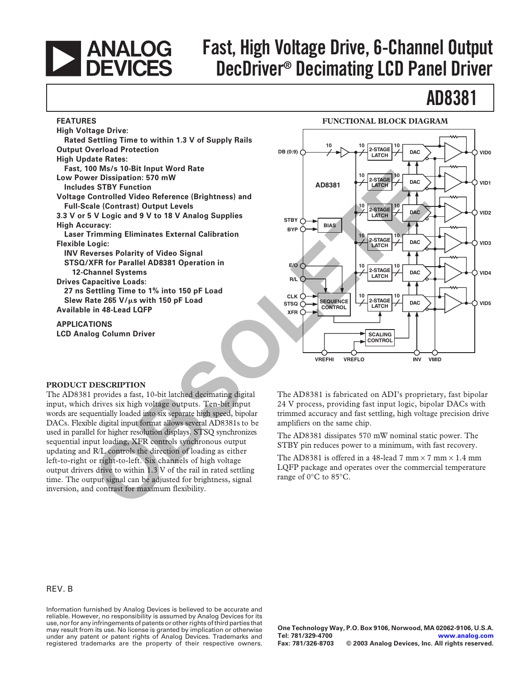# **EXAMALOG**<br>DEVICES

**FEATURES**

# **Fast, High Voltage Drive, 6-Channel Output DecDriver® Decimating LCD Panel Driver**

# **AD8381**

#### **FUNCTIONAL BLOCK DIAGRAM**

**LCD Analog Column Driver**



#### **PRODUCT DESCRIPTION**

The AD8381 provides a fast, 10-bit latched decimating digital input, which drives six high voltage outputs. Ten-bit input words are sequentially loaded into six separate high speed, bipolar DACs. Flexible digital input format allows several AD8381s to be used in parallel for higher resolution displays. STSQ synchronizes sequential input loading, XFR controls synchronous output updating and R/L controls the direction of loading as either left-to-right or right-to-left. Six channels of high voltage output drivers drive to within 1.3 V of the rail in rated settling time. The output signal can be adjusted for brightness, signal inversion, and contrast for maximum flexibility.

The AD8381 is fabricated on ADI's proprietary, fast bipolar 24 V process, providing fast input logic, bipolar DACs with trimmed accuracy and fast settling, high voltage precision drive amplifiers on the same chip.

The AD8381 dissipates 570 mW nominal static power. The STBY pin reduces power to a minimum, with fast recovery.

The AD8381 is offered in a 48-lead 7 mm  $\times$  7 mm  $\times$  1.4 mm LQFP package and operates over the commercial temperature range of 0∞C to 85∞C.

#### REV. B

Information furnished by Analog Devices is believed to be accurate and reliable. However, no responsibility is assumed by Analog Devices for its use, nor for any infringements of patents or other rights of third parties that may result from its use. No license is granted by implication or otherwise under any patent or patent rights of Analog Devices. Trademarks and registered trademarks are the property of their respective owners.

**One Technology Way, P.O. Box 9106, Norwood, MA 02062-9106, U.S.A. Tel: 781/329-4700 [www.analog.com](http://www.analog.com)**  $©$  2003 Analog Devices, Inc. All rights reserved.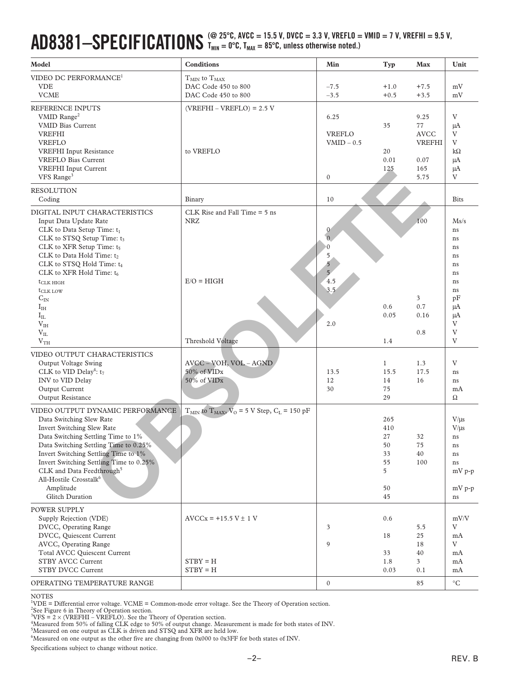#### $AD8381-SPECIFICATIONS <sup>(@ 25°C, AVCC = 15.5 V, DVCC = 3.3 V, VREFLO = VMID = 7 V, VREFHI = 9.5 V, T_{MIN} = 0°C, T_{MAN} = 85°C, unless otherwise noted.)</sup>$  $T_{MIN} = 0$ °C,  $T_{MAX} = 85$ °C, unless otherwise noted.)

| Model                                                                                                                                                                                                                                                                                                                                                                                                                                  | <b>Conditions</b>                                                                  | Min                                                                                  | Typ                                                 | Max                                                               | Unit                                                                                  |
|----------------------------------------------------------------------------------------------------------------------------------------------------------------------------------------------------------------------------------------------------------------------------------------------------------------------------------------------------------------------------------------------------------------------------------------|------------------------------------------------------------------------------------|--------------------------------------------------------------------------------------|-----------------------------------------------------|-------------------------------------------------------------------|---------------------------------------------------------------------------------------|
| VIDEO DC PERFORMANCE <sup>1</sup><br><b>VDE</b><br><b>VCME</b>                                                                                                                                                                                                                                                                                                                                                                         | $TMIN$ to $TMAX$<br>DAC Code 450 to 800<br>DAC Code 450 to 800                     | $-7.5$<br>$-3.5$                                                                     | $+1.0$<br>$+0.5$                                    | $+7.5$<br>$+3.5$                                                  | mV<br>mV                                                                              |
| REFERENCE INPUTS<br>VMID Range <sup>2</sup><br><b>VMID Bias Current</b><br><b>VREFHI</b><br><b>VREFLO</b><br>VREFHI Input Resistance<br><b>VREFLO Bias Current</b><br><b>VREFHI</b> Input Current<br>VFS Range <sup>3</sup>                                                                                                                                                                                                            | $(VREFHI - VREFLO) = 2.5 V$<br>to VREFLO                                           | 6.25<br><b>VREFLO</b><br>$VMID - 0.5$<br>$\mathbf{0}$                                | 35<br>20<br>0.01<br>125                             | 9.25<br>77<br><b>AVCC</b><br><b>VREFHI</b><br>0.07<br>165<br>5.75 | V<br>μA<br>V<br>V<br>$k\Omega$<br>μA<br>μA<br>V                                       |
| <b>RESOLUTION</b><br>Coding                                                                                                                                                                                                                                                                                                                                                                                                            | Binary                                                                             | 10                                                                                   |                                                     |                                                                   | <b>Bits</b>                                                                           |
| DIGITAL INPUT CHARACTERISTICS<br>Input Data Update Rate<br>CLK to Data Setup Time: t <sub>1</sub><br>CLK to STSQ Setup Time: t <sub>3</sub><br>CLK to XFR Setup Time: t <sub>5</sub><br>CLK to Data Hold Time: t2<br>CLK to STSQ Hold Time: t <sub>4</sub><br>CLK to XFR Hold Time: t <sub>6</sub><br>$t$ CLK HIGH<br>$t_{\text{CLK ~LOW}}$<br>$C_{IN}$<br>$I_{\rm IH}$<br>$I_{IL}$<br>$\rm V_{IH}$<br>$\rm V_{II}$<br>V <sub>TH</sub> | CLK Rise and Fall Time $= 5$ ns<br><b>NRZ</b><br>$E/O = HIGH$<br>Threshold Voltage | $\mathbf{0}$<br>$\overline{0}$<br>0<br>5<br>5<br>$\overline{5}$<br>4.5<br>3.5<br>2.0 | 0.6<br>0.05<br>1.4                                  | 100<br>3<br>0.7<br>0.16<br>0.8                                    | Ms/s<br>ns<br>ns<br>ns<br>ns<br>ns<br>ns<br>ns<br>ns<br>pF<br>μA<br>μA<br>V<br>V<br>V |
| VIDEO OUTPUT CHARACTERISTICS<br>Output Voltage Swing<br>CLK to VID Delay <sup>4</sup> : $t_7$<br>INV to VID Delay<br>Output Current<br>Output Resistance                                                                                                                                                                                                                                                                               | AVCC - VOH, VOL - AGND<br>50% of VIDx<br>50% of VIDx                               | 13.5<br>12<br>30                                                                     | $\mathbf{1}$<br>15.5<br>14<br>75<br>29              | 1.3<br>17.5<br>16                                                 | V<br>ns<br>ns<br>mA<br>$\Omega$                                                       |
| VIDEO OUTPUT DYNAMIC PERFORMANCE<br>Data Switching Slew Rate<br>Invert Switching Slew Rate<br>Data Switching Settling Time to 1%<br>Data Switching Settling Time to 0.25%<br>Invert Switching Settling Time to 1%<br>Invert Switching Settling Time to 0.25%<br>CLK and Data Feedthrough <sup>5</sup><br>All-Hostile Crosstalk <sup>6</sup><br>Amplitude<br>Glitch Duration                                                            | $T_{MIN}$ to $T_{MAX}$ , $\overline{V}_0$ = 5 V Step, $C_L$ = 150 pF               |                                                                                      | 265<br>410<br>27<br>50<br>33<br>55<br>5<br>50<br>45 | 32<br>75<br>40<br>100                                             | $V/\mu s$<br>$V/\mu s$<br>ns<br>ns<br>ns<br>ns<br>mV p-p<br>$mV$ p-p<br>ns            |
| <b>POWER SUPPLY</b><br>Supply Rejection (VDE)<br>DVCC, Operating Range<br>DVCC, Quiescent Current<br>AVCC, Operating Range<br>Total AVCC Quiescent Current<br>STBY AVCC Current<br><b>STBY DVCC Current</b>                                                                                                                                                                                                                            | $AVCCx = +15.5 V \pm 1 V$<br>$\mathrm{STBY} = \mathrm{H}$<br>$STBY = H$            | 3<br>9                                                                               | 0.6<br>18<br>33<br>1.8<br>0.03                      | 5.5<br>25<br>18<br>40<br>$\overline{3}$<br>0.1                    | mV/V<br>V<br>mA<br>V<br>mA<br>mA<br>mA                                                |
| OPERATING TEMPERATURE RANGE                                                                                                                                                                                                                                                                                                                                                                                                            |                                                                                    | $\mathbf{0}$                                                                         |                                                     | 85                                                                | $^{\circ}C$                                                                           |

NOTES

1 VDE = Differential error voltage. VCME = Common-mode error voltage. See the Theory of Operation section.

<sup>2</sup>See Figure 6 in Theory of Operation section.<br><sup>3</sup>WFS = 2 × (VREFHI – VREFLO). See the Theory of Operation section.<br><sup>4</sup>Measured from 50% of folling CLK adge to 50% of output change. Mea

Measured from 50% of falling CLK edge to 50% of output change. Measurement is made for both states of INV.

5 Measured on one output as CLK is driven and STSQ and XFR are held low.

6 Measured on one output as the other five are changing from 0x000 to 0x3FF for both states of INV.

Specifications subject to change without notice.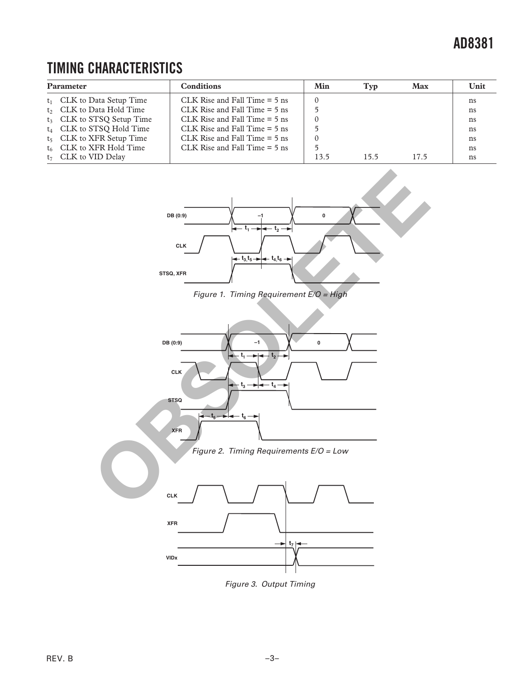### **TIMING CHARACTERISTICS**

| <b>Parameter</b> |                                       | <b>Conditions</b>               | Min  | Typ  | <b>Max</b> | Unit |
|------------------|---------------------------------------|---------------------------------|------|------|------------|------|
|                  | $t_1$ CLK to Data Setup Time          | CLK Rise and Fall Time $= 5$ ns |      |      |            | ns   |
|                  | t <sub>2</sub> CLK to Data Hold Time  | CLK Rise and Fall Time $= 5$ ns |      |      |            | ns   |
|                  | t <sub>3</sub> CLK to STSQ Setup Time | CLK Rise and Fall Time $= 5$ ns |      |      |            | ns   |
|                  | $t_4$ CLK to STSQ Hold Time           | CLK Rise and Fall Time $= 5$ ns |      |      |            | ns   |
|                  | $t_5$ CLK to XFR Setup Time           | CLK Rise and Fall Time $= 5$ ns |      |      |            | ns   |
|                  | $t_6$ CLK to XFR Hold Time            | CLK Rise and Fall Time $= 5$ ns |      |      |            | ns   |
|                  | $t_7$ CLK to VID Delay                |                                 | 13.5 | 15.5 | 17.5       | ns   |



Figure 3. Output Timing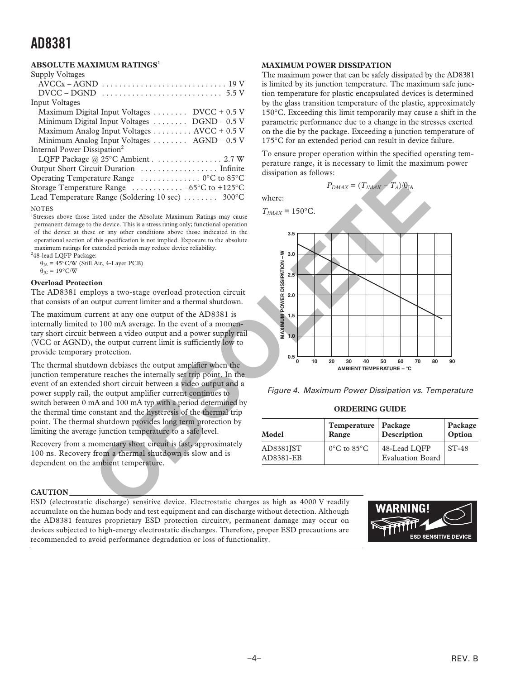#### **ABSOLUTE MAXIMUM RATINGS<sup>1</sup>**

| Supply Voltages                                                              |
|------------------------------------------------------------------------------|
|                                                                              |
| DVCC – DGND                                                                  |
| <b>Input Voltages</b>                                                        |
| Maximum Digital Input Voltages $\dots \dots$ DVCC + 0.5 V                    |
| Minimum Digital Input Voltages $\dots \dots$ DGND – 0.5 V                    |
| Maximum Analog Input Voltages AVCC + 0.5 V                                   |
| Minimum Analog Input Voltages $\dots \dots$ AGND – 0.5 V                     |
| Internal Power Dissipation <sup>2</sup>                                      |
| LQFP Package @ $25^{\circ}$ C Ambient 2.7 W                                  |
| Output Short Circuit Duration  Infinite                                      |
| Operating Temperature Range $\ldots \ldots \ldots \ldots \ldots$ 0°C to 85°C |
| Storage Temperature Range $\ldots \ldots \ldots -65$ °C to +125°C            |
| Lead Temperature Range (Soldering 10 sec)  300°C                             |
| <b>NOTES</b>                                                                 |

<sup>1</sup>Stresses above those listed under the Absolute Maximum Ratings may cause permanent damage to the device. This is a stress rating only; functional operation of the device at these or any other conditions above those indicated in the operational section of this specification is not implied. Exposure to the absolute maximum ratings for extended periods may reduce device reliability.

<sup>2</sup>48-lead LQFP Package:  $\theta_{IA}$  = 45°C/W (Still Air, 4-Layer PCB)

 $\theta_{\text{IC}} = 19^{\circ}\text{C/W}$ 

#### **Overload Protection**

The AD8381 employs a two-stage overload protection circuit that consists of an output current limiter and a thermal shutdown.

The maximum current at any one output of the AD8381 is internally limited to 100 mA average. In the event of a momentary short circuit between a video output and a power supply rail (VCC or AGND), the output current limit is sufficiently low to provide temporary protection.

The thermal shutdown debiases the output amplifier when the junction temperature reaches the internally set trip point. In the event of an extended short circuit between a video output and a power supply rail, the output amplifier current continues to switch between 0 mA and 100 mA typ with a period determined by the thermal time constant and the hysteresis of the thermal trip point. The thermal shutdown provides long term protection by limiting the average junction temperature to a safe level.

Recovery from a momentary short circuit is fast, approximately 100 ns. Recovery from a thermal shutdown is slow and is dependent on the ambient temperature.

#### **CAUTION**

ESD (electrostatic discharge) sensitive device. Electrostatic charges as high as 4000 V readily accumulate on the human body and test equipment and can discharge without detection. Although the AD8381 features proprietary ESD protection circuitry, permanent damage may occur on devices subjected to high-energy electrostatic discharges. Therefore, proper ESD precautions are recommended to avoid performance degradation or loss of functionality.

#### **MAXIMUM POWER DISSIPATION**

The maximum power that can be safely dissipated by the AD8381 is limited by its junction temperature. The maximum safe junction temperature for plastic encapsulated devices is determined by the glass transition temperature of the plastic, approximately 150∞C. Exceeding this limit temporarily may cause a shift in the parametric performance due to a change in the stresses exerted on the die by the package. Exceeding a junction temperature of 175∞C for an extended period can result in device failure.

To ensure proper operation within the specified operating temperature range, it is necessary to limit the maximum power dissipation as follows:

$$
P_{DMAX} = (T_{JMAX} - T_A)/\theta_{JA}
$$

where:





Figure 4. Maximum Power Dissipation vs. Temperature

**ORDERING GUIDE**

| Model                  | Temperature   Package<br>Range   | Description                             | Package<br>Option |  |
|------------------------|----------------------------------|-----------------------------------------|-------------------|--|
| AD8381JST<br>AD8381-EB | $0^{\circ}$ C to 85 $^{\circ}$ C | 48-Lead LQFP<br><b>Evaluation Board</b> | $ST-48$           |  |

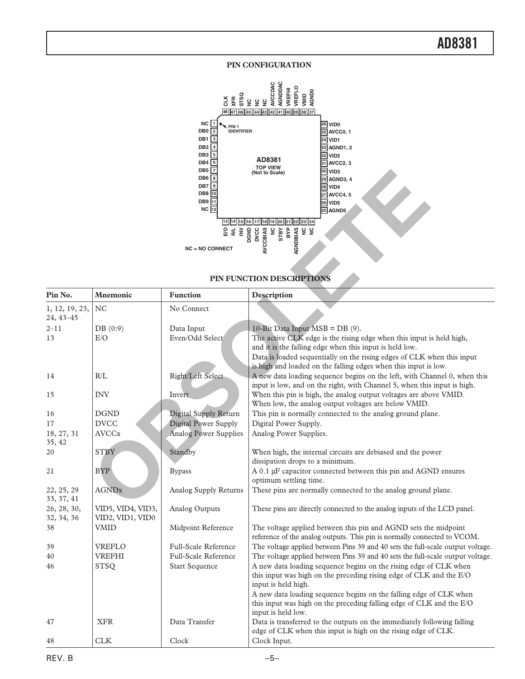#### **PIN CONFIGURATION**



#### **PIN FUNCTION DESCRIPTIONS**

|                             |                                       | DB5   7<br>DB6 8<br>DB7<br>DB8 10<br>DB9 11<br>$NC$ $12$<br>13   14   15  <br><b>NC = NO CONNECT</b> | 30 VID3<br>(Not to Scale)<br>29 AGND3, 4<br>28 VID4<br>27 AVCC4, 5<br>$26$ VID5<br>25 AGND5<br>16<br><b>AVCCBIAS</b><br>BYP<br>AGNDBIAS<br>$rac{c}{x}$<br>STBY<br>š<br>PIN FUNCTION DESCRIPTIONS                                                                             |  |
|-----------------------------|---------------------------------------|------------------------------------------------------------------------------------------------------|------------------------------------------------------------------------------------------------------------------------------------------------------------------------------------------------------------------------------------------------------------------------------|--|
| Pin No.                     | Mnemonic                              | <b>Function</b>                                                                                      | Description                                                                                                                                                                                                                                                                  |  |
| 1, 12, 19, 23,<br>24, 43-45 | <b>NC</b>                             | No Connect                                                                                           |                                                                                                                                                                                                                                                                              |  |
| 2–11                        | DB(0:9)                               | Data Input                                                                                           | 10-Bit Data Input MSB = DB (9).                                                                                                                                                                                                                                              |  |
| 13                          | E/O                                   | Even/Odd Select                                                                                      | The active CLK edge is the rising edge when this input is held high,<br>and it is the falling edge when this input is held low.<br>Data is loaded sequentially on the rising edges of CLK when this input<br>is high and loaded on the falling edges when this input is low. |  |
| 14                          | R/L                                   | Right/Left Select                                                                                    | A new data loading sequence begins on the left, with Channel 0, when this<br>input is low, and on the right, with Channel 5, when this input is high.                                                                                                                        |  |
| 15                          | <b>INV</b>                            | Invert                                                                                               | When this pin is high, the analog output voltages are above VMID.<br>When low, the analog output voltages are below VMID.                                                                                                                                                    |  |
| 16                          | <b>DGND</b>                           | Digital Supply Return                                                                                | This pin is normally connected to the analog ground plane.                                                                                                                                                                                                                   |  |
| 17                          | <b>DVCC</b>                           | Digital Power Supply                                                                                 | Digital Power Supply.                                                                                                                                                                                                                                                        |  |
| 18, 27, 31<br>35, 42        | <b>AVCCx</b>                          | <b>Analog Power Supplies</b>                                                                         | Analog Power Supplies.                                                                                                                                                                                                                                                       |  |
| 20                          | <b>STBY</b>                           | Standby                                                                                              | When high, the internal circuits are debiased and the power<br>dissipation drops to a minimum.                                                                                                                                                                               |  |
| 21                          | <b>BYP</b>                            | <b>Bypass</b>                                                                                        | A 0.1 µF capacitor connected between this pin and AGND ensures<br>optimum settling time.                                                                                                                                                                                     |  |
| 22, 25, 29<br>33, 37, 41    | <b>AGNDx</b>                          | Analog Supply Returns                                                                                | These pins are normally connected to the analog ground plane.                                                                                                                                                                                                                |  |
| 26, 28, 30,<br>32, 34, 36   | VID5, VID4, VID3,<br>VID2, VID1, VID0 | Analog Outputs                                                                                       | These pins are directly connected to the analog inputs of the LCD panel.                                                                                                                                                                                                     |  |
| 38                          | <b>VMID</b>                           | Midpoint Reference                                                                                   | The voltage applied between this pin and AGND sets the midpoint<br>reference of the analog outputs. This pin is normally connected to VCOM.                                                                                                                                  |  |
| 39                          | <b>VREFLO</b>                         | <b>Full-Scale Reference</b>                                                                          | The voltage applied between Pins 39 and 40 sets the full-scale output voltage.                                                                                                                                                                                               |  |
| 40                          | VREFHI                                | <b>Full-Scale Reference</b>                                                                          | The voltage applied between Pins 39 and 40 sets the full-scale output voltage.                                                                                                                                                                                               |  |
| 46                          | <b>STSQ</b>                           | <b>Start Sequence</b>                                                                                | A new data loading sequence begins on the rising edge of CLK when<br>this input was high on the preceding rising edge of CLK and the E/O<br>input is held high.                                                                                                              |  |
|                             |                                       |                                                                                                      | A new data loading sequence begins on the falling edge of CLK when<br>this input was high on the preceding falling edge of CLK and the E/O<br>input is held low.                                                                                                             |  |
| 47                          | <b>XFR</b>                            | Data Transfer                                                                                        | Data is transferred to the outputs on the immediately following falling<br>edge of CLK when this input is high on the rising edge of CLK.                                                                                                                                    |  |
| 48                          | ${\rm CLK}$                           | Clock                                                                                                | Clock Input.                                                                                                                                                                                                                                                                 |  |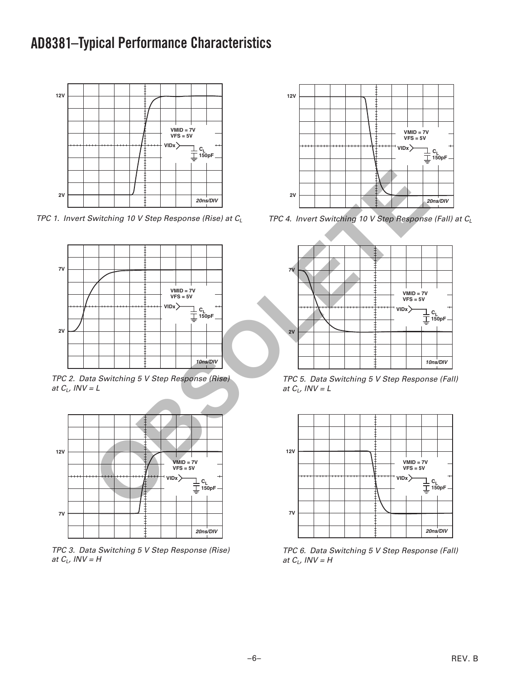### **AD8381 –Typical Performance Characteristics**



TPC 1. Invert Switching 10 V Step Response (Rise) at  $C_L$ 



TPC 2. Data Switching 5 V Step Response (Rise) at  $C_L$ , INV = L



TPC 3. Data Switching 5 V Step Response (Rise) at  $C_L$ , INV = H



TPC 4. Invert Switching 10 V Step Response (Fall) at  $C_L$ 



TPC 5. Data Switching 5 V Step Response (Fall) at  $C_L$ , INV = L



TPC 6. Data Switching 5 V Step Response (Fall) at  $C_L$ ,  $INV = H$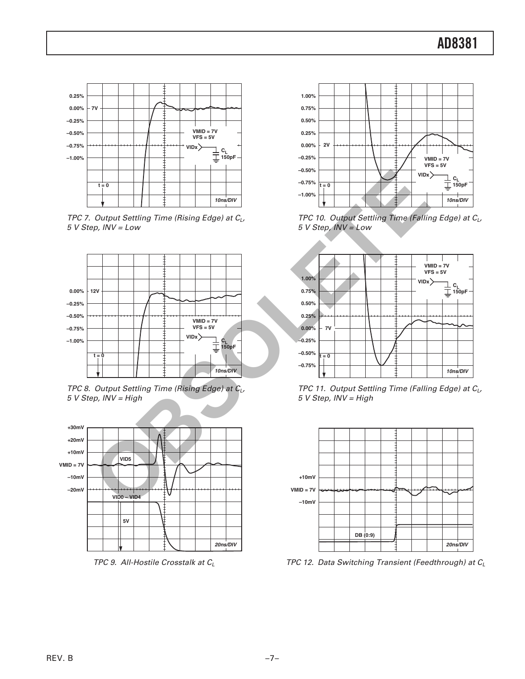

TPC 7. Output Settling Time (Rising Edge) at  $C_{L}$ , 5 V Step, INV = Low



TPC 8. Output Settling Time (Rising Edge) at  $C_L$ , 5 V Step, INV = High



TPC 9. All-Hostile Crosstalk at  $C_L$ 



TPC 10. Output Settling Time (Falling Edge) at  $C_L$ , 5 V Step, INV = Low



TPC 11. Output Settling Time (Falling Edge) at  $C_L$ , 5 V Step, INV = High



TPC 12. Data Switching Transient (Feedthrough) at  $C_L$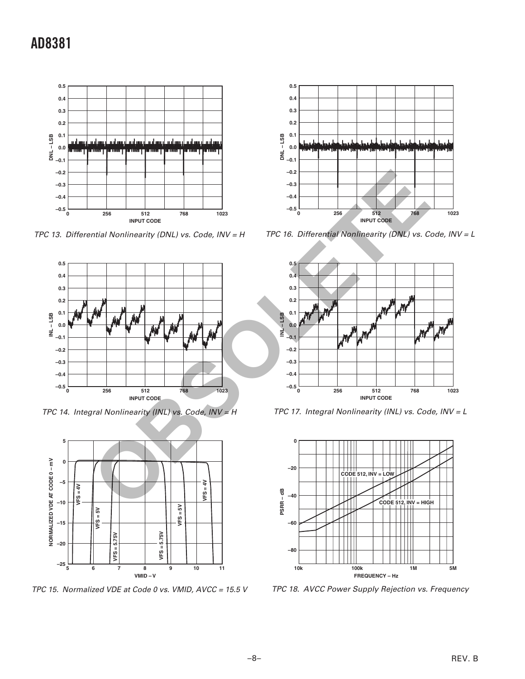

TPC 13. Differential Nonlinearity (DNL) vs. Code, INV = H



TPC 14. Integral Nonlinearity (INL) vs. Code, INV = H



TPC 15. Normalized VDE at Code 0 vs. VMID, AVCC = 15.5 V



TPC 16. Differential Nonlinearity (DNL) vs. Code, INV = L



TPC 17. Integral Nonlinearity (INL) vs. Code, INV = L



TPC 18. AVCC Power Supply Rejection vs. Frequency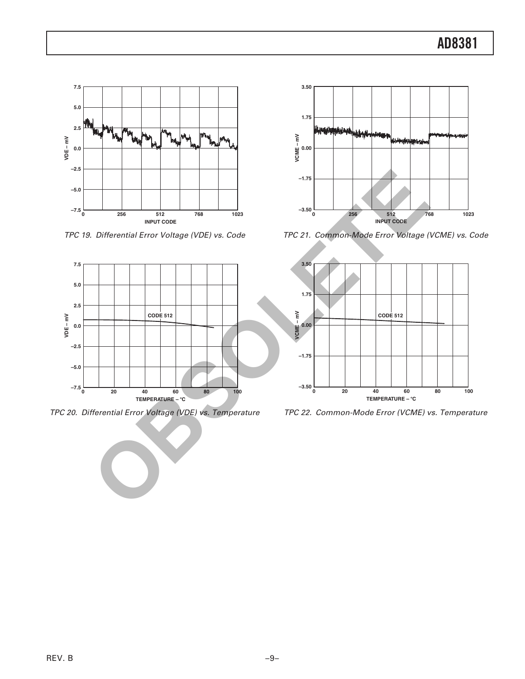

TPC 19. Differential Error Voltage (VDE) vs. Code



TPC 20. Differential Error Voltage (VDE) vs. Temperature



TPC 21. Common-Mode Error Voltage (VCME) vs. Code



TPC 22. Common-Mode Error (VCME) vs. Temperature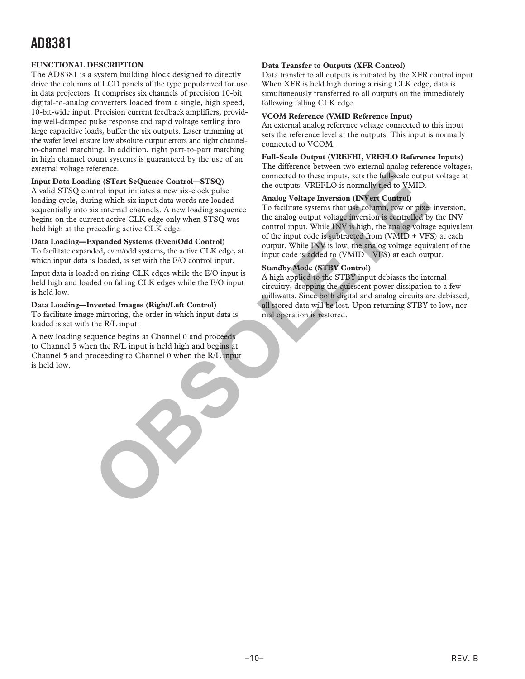#### **FUNCTIONAL DESCRIPTION**

The AD8381 is a system building block designed to directly drive the columns of LCD panels of the type popularized for use in data projectors. It comprises six channels of precision 10-bit digital-to-analog converters loaded from a single, high speed, 10-bit-wide input. Precision current feedback amplifiers, providing well-damped pulse response and rapid voltage settling into large capacitive loads, buffer the six outputs. Laser trimming at the wafer level ensure low absolute output errors and tight channelto-channel matching. In addition, tight part-to-part matching in high channel count systems is guaranteed by the use of an external voltage reference.

#### **Input Data Loading (STart SeQuence Control—STSQ)**

A valid STSQ control input initiates a new six-clock pulse loading cycle, during which six input data words are loaded sequentially into six internal channels. A new loading sequence begins on the current active CLK edge only when STSQ was held high at the preceding active CLK edge.

#### **Data Loading—Expanded Systems (Even/Odd Control)**

To facilitate expanded, even/odd systems, the active CLK edge, at which input data is loaded, is set with the E/O control input.

Input data is loaded on rising CLK edges while the E/O input is held high and loaded on falling CLK edges while the E/O input is held low.

#### **Data Loading—Inverted Images (Right/Left Control)**

To facilitate image mirroring, the order in which input data is loaded is set with the R/L input.

A new loading sequence begins at Channel 0 and proceeds to Channel 5 when the R/L input is held high and begins at Channel 5 and proceeding to Channel 0 when the R/L input is held low.

#### **Data Transfer to Outputs (XFR Control)**

Data transfer to all outputs is initiated by the XFR control input. When XFR is held high during a rising CLK edge, data is simultaneously transferred to all outputs on the immediately following falling CLK edge.

#### **VCOM Reference (VMID Reference Input)**

An external analog reference voltage connected to this input sets the reference level at the outputs. This input is normally connected to VCOM.

#### **Full-Scale Output (VREFHI, VREFLO Reference Inputs)**

The difference between two external analog reference voltages, connected to these inputs, sets the full-scale output voltage at the outputs. VREFLO is normally tied to VMID.

#### **Analog Voltage Inversion (INVert Control)**

To facilitate systems that use column, row or pixel inversion, the analog output voltage inversion is controlled by the INV control input. While INV is high, the analog voltage equivalent of the input code is subtracted from (VMID + VFS) at each output. While INV is low, the analog voltage equivalent of the input code is added to (VMID – VFS) at each output. extendion to the state of the induced state in the output in the state of the state of the state of the state of the state of the state of the state of the state of the state of the state of the state of the state of the s

#### **Standby Mode (STBY Control)**

A high applied to the STBY input debiases the internal circuitry, dropping the quiescent power dissipation to a few milliwatts. Since both digital and analog circuits are debiased, all stored data will be lost. Upon returning STBY to low, normal operation is restored.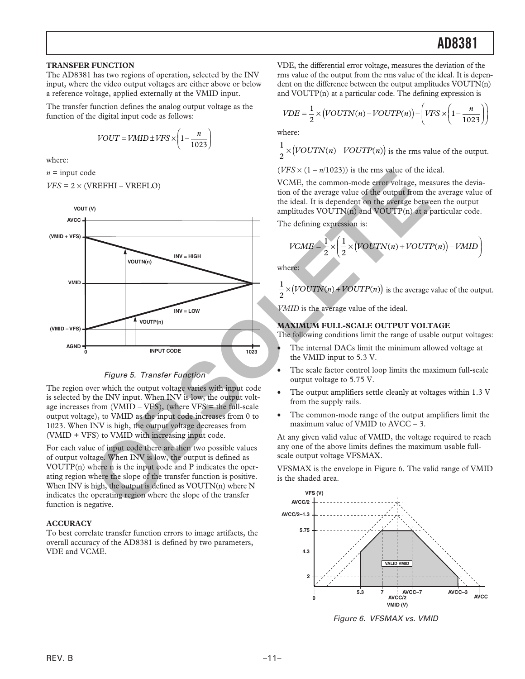#### **TRANSFER FUNCTION**

The AD8381 has two regions of operation, selected by the INV input, where the video output voltages are either above or below a reference voltage, applied externally at the VMID input.

The transfer function defines the analog output voltage as the function of the digital input code as follows:

$$
VOUT = VMID \pm VFS \times \left(1 - \frac{n}{1023}\right)
$$

where:

 $n =$ input code

$$
VFS = 2 \times (VREFHI - VREFLO)
$$



#### Figure 5. Transfer Function

The region over which the output voltage varies with input code is selected by the INV input. When INV is low, the output voltage increases from  $(VMID - VFS)$ , (where  $VFS =$  the full-scale output voltage), to VMID as the input code increases from 0 to 1023. When INV is high, the output voltage decreases from (VMID + VFS) to VMID with increasing input code.

For each value of input code there are then two possible values of output voltage. When INV is low, the output is defined as VOUTP(n) where n is the input code and P indicates the operating region where the slope of the transfer function is positive. When INV is high, the output is defined as VOUTN(n) where N indicates the operating region where the slope of the transfer function is negative.

#### **ACCURACY**

To best correlate transfer function errors to image artifacts, the overall accuracy of the AD8381 is defined by two parameters, VDE and VCME.

VDE, the differential error voltage, measures the deviation of the rms value of the output from the rms value of the ideal. It is dependent on the difference between the output amplitudes VOUTN(n) and VOUTP(n) at a particular code. The defining expression is

$$
VDE = \frac{1}{2} \times (VOUTN(n) - VOUTP(n)) - \left(VFS \times \left(1 - \frac{n}{1023}\right)\right)
$$

where:

$$
\frac{1}{2} \times (VOUTN(n) - VOUTP(n))
$$
 is the rms value of the output.

 $(VFS \times (1 - n/1023))$  is the rms value of the ideal.

VCME, the common-mode error voltage, measures the deviation of the average value of the output from the average value of the ideal. It is dependent on the average between the output amplitudes VOUTN(n) and VOUTP(n) at a particular code.

The defining expression is:

$$
VCME = \frac{1}{2} \times \left(\frac{1}{2} \times (VOUTN(n) + VOUTP(n)) - VMID\right)
$$

where:

$$
\frac{1}{2} \times (VOUTN(n) + VOUTP(n))
$$
 is the average value of the output.

*VMID* is the average value of the ideal.

#### **MAXIMUM FULL-SCALE OUTPUT VOLTAGE**

The following conditions limit the range of usable output voltages:

- The internal DACs limit the minimum allowed voltage at the VMID input to 5.3 V.
- The scale factor control loop limits the maximum full-scale output voltage to 5.75 V.
- The output amplifiers settle cleanly at voltages within 1.3 V from the supply rails.
- The common-mode range of the output amplifiers limit the maximum value of VMID to AVCC – 3.

At any given valid value of VMID, the voltage required to reach any one of the above limits defines the maximum usable fullscale output voltage VFSMAX.

VFSMAX is the envelope in Figure 6. The valid range of VMID is the shaded area.



Figure 6. VFSMAX vs. VMID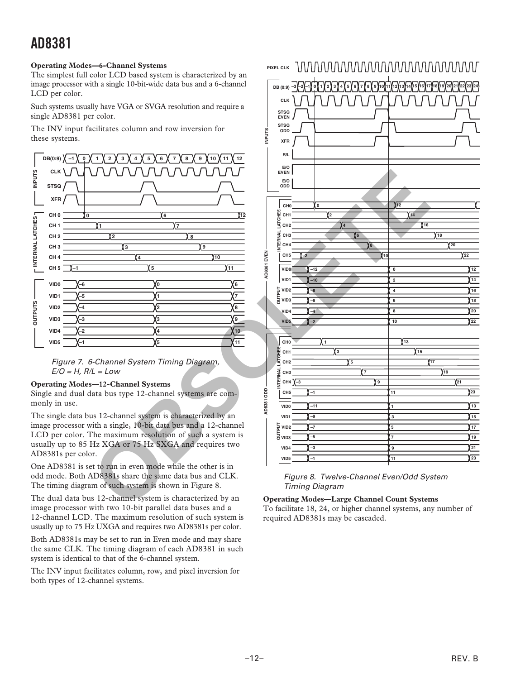#### **Operating Modes—6-Channel Systems**

The simplest full color LCD based system is characterized by an image processor with a single 10-bit-wide data bus and a 6-channel LCD per color.

Such systems usually have VGA or SVGA resolution and require a single AD8381 per color.

The INV input facilitates column and row inversion for these systems.





#### **Operating Modes—12-Channel Systems**

Single and dual data bus type 12-channel systems are commonly in use.

The single data bus 12-channel system is characterized by an image processor with a single, 10-bit data bus and a 12-channel LCD per color. The maximum resolution of such a system is usually up to 85 Hz XGA or 75 Hz SXGA and requires two AD8381s per color.

One AD8381 is set to run in even mode while the other is in odd mode. Both AD8381s share the same data bus and CLK. The timing diagram of such system is shown in Figure 8.

The dual data bus 12-channel system is characterized by an image processor with two 10-bit parallel data buses and a 12-channel LCD. The maximum resolution of such system is usually up to 75 Hz UXGA and requires two AD8381s per color.

Both AD8381s may be set to run in Even mode and may share the same CLK. The timing diagram of each AD8381 in such system is identical to that of the 6-channel system.

The INV input facilitates column, row, and pixel inversion for both types of 12-channel systems.



#### Figure 8. Twelve-Channel Even/Odd System Timing Diagram

**Operating Modes—Large Channel Count Systems** To facilitate 18, 24, or higher channel systems, any number of required AD8381s may be cascaded.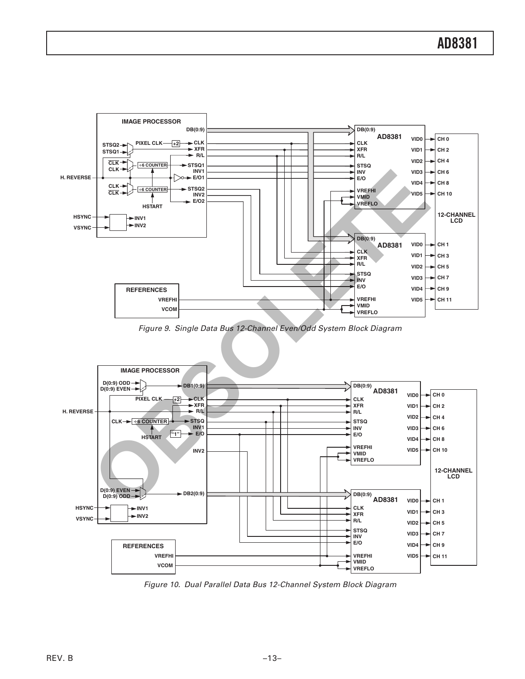

Figure 9. Single Data Bus 12-Channel Even/Odd System Block Diagram



Figure 10. Dual Parallel Data Bus 12-Channel System Block Diagram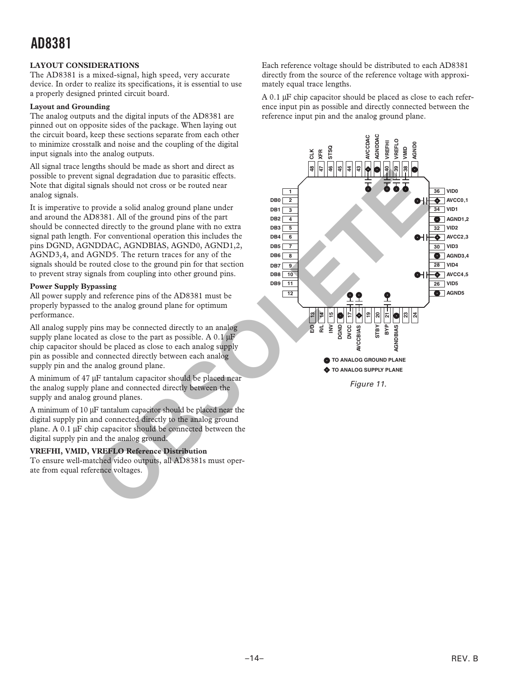#### **LAYOUT CONSIDERATIONS**

The AD8381 is a mixed-signal, high speed, very accurate device. In order to realize its specifications, it is essential to use a properly designed printed circuit board.

#### **Layout and Grounding**

The analog outputs and the digital inputs of the AD8381 are pinned out on opposite sides of the package. When laying out the circuit board, keep these sections separate from each other to minimize crosstalk and noise and the coupling of the digital input signals into the analog outputs.

All signal trace lengths should be made as short and direct as possible to prevent signal degradation due to parasitic effects. Note that digital signals should not cross or be routed near analog signals.

It is imperative to provide a solid analog ground plane under and around the AD8381. All of the ground pins of the part should be connected directly to the ground plane with no extra signal path length. For conventional operation this includes the pins DGND, AGNDDAC, AGNDBIAS, AGND0, AGND1,2, AGND3,4, and AGND5. The return traces for any of the signals should be routed close to the ground pin for that section to prevent stray signals from coupling into other ground pins.

#### **Power Supply Bypassing**

All power supply and reference pins of the AD8381 must be properly bypassed to the analog ground plane for optimum performance.

All analog supply pins may be connected directly to an analog supply plane located as close to the part as possible. A  $0.1 \mu$ F chip capacitor should be placed as close to each analog supply pin as possible and connected directly between each analog supply pin and the analog ground plane.

A minimum of 47 µF tantalum capacitor should be placed near the analog supply plane and connected directly between the supply and analog ground planes.

A minimum of 10 µF tantalum capacitor should be placed near the digital supply pin and connected directly to the analog ground plane. A  $0.1 \mu$ F chip capacitor should be connected between the digital supply pin and the analog ground.

#### **VREFHI, VMID, VREFLO Reference Distribution**

To ensure well-matched video outputs, all AD8381s must operate from equal reference voltages.

Each reference voltage should be distributed to each AD8381 directly from the source of the reference voltage with approximately equal trace lengths.

 $A$  0.1  $\mu$ F chip capacitor should be placed as close to each reference input pin as possible and directly connected between the reference input pin and the analog ground plane.



Figure 11.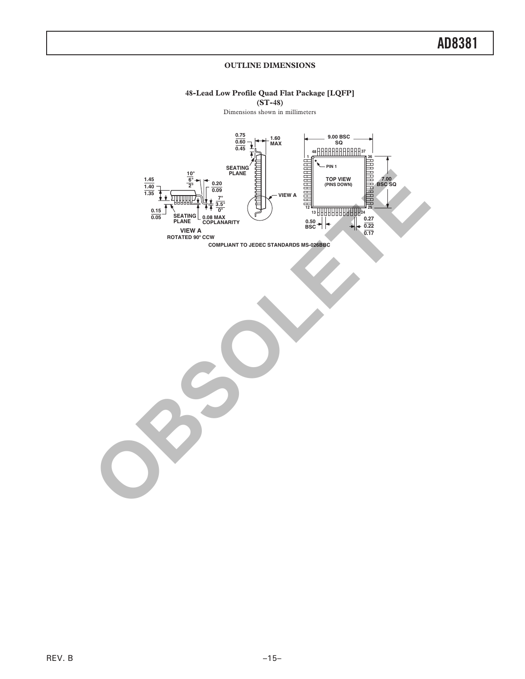#### **OUTLINE DIMENSIONS**

#### **48-Lead Low Profile Quad Flat Package [LQFP] (ST-48)**

Dimensions shown in millimeters



**COMPLIANT TO JEDEC STANDARDS MS-026BBC**